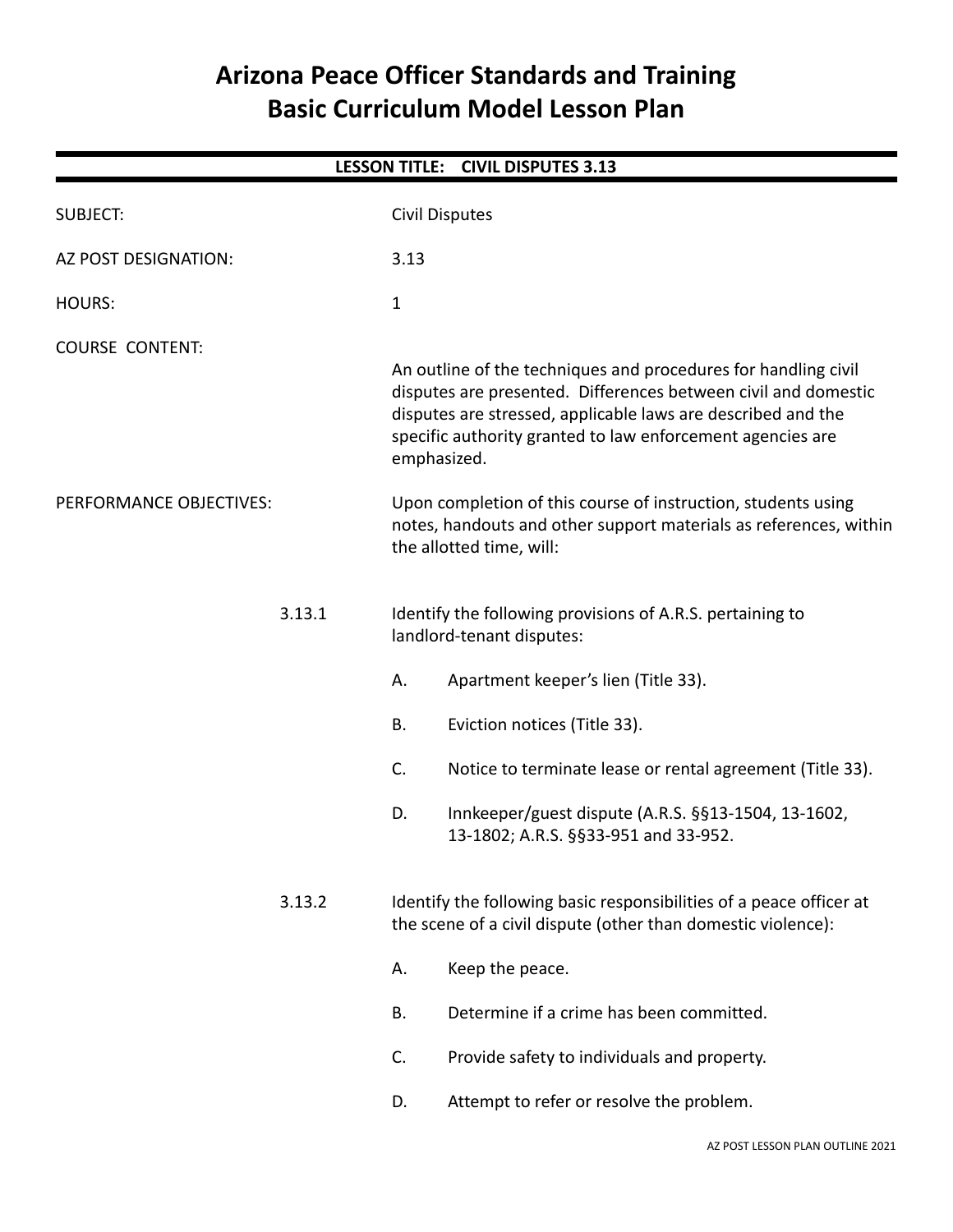# **Arizona Peace Officer Standards and Training Basic Curriculum Model Lesson Plan**

|                         |              |                                                                                                                                                                                                                                                                               | LESSON TITLE: CIVIL DISPUTES 3.13                                                                                                                              |  |
|-------------------------|--------------|-------------------------------------------------------------------------------------------------------------------------------------------------------------------------------------------------------------------------------------------------------------------------------|----------------------------------------------------------------------------------------------------------------------------------------------------------------|--|
| <b>SUBJECT:</b>         |              |                                                                                                                                                                                                                                                                               | <b>Civil Disputes</b>                                                                                                                                          |  |
| AZ POST DESIGNATION:    | 3.13         |                                                                                                                                                                                                                                                                               |                                                                                                                                                                |  |
| <b>HOURS:</b>           | $\mathbf{1}$ |                                                                                                                                                                                                                                                                               |                                                                                                                                                                |  |
| <b>COURSE CONTENT:</b>  |              |                                                                                                                                                                                                                                                                               |                                                                                                                                                                |  |
|                         |              | An outline of the techniques and procedures for handling civil<br>disputes are presented. Differences between civil and domestic<br>disputes are stressed, applicable laws are described and the<br>specific authority granted to law enforcement agencies are<br>emphasized. |                                                                                                                                                                |  |
| PERFORMANCE OBJECTIVES: |              |                                                                                                                                                                                                                                                                               | Upon completion of this course of instruction, students using<br>notes, handouts and other support materials as references, within<br>the allotted time, will: |  |
| 3.13.1                  |              | Identify the following provisions of A.R.S. pertaining to<br>landlord-tenant disputes:                                                                                                                                                                                        |                                                                                                                                                                |  |
|                         | А.           |                                                                                                                                                                                                                                                                               | Apartment keeper's lien (Title 33).                                                                                                                            |  |
|                         | B.           |                                                                                                                                                                                                                                                                               | Eviction notices (Title 33).                                                                                                                                   |  |
|                         | C.           |                                                                                                                                                                                                                                                                               | Notice to terminate lease or rental agreement (Title 33).                                                                                                      |  |
|                         | D.           |                                                                                                                                                                                                                                                                               | Innkeeper/guest dispute (A.R.S. §§13-1504, 13-1602,<br>13-1802; A.R.S. §§33-951 and 33-952.                                                                    |  |
| 3.13.2                  |              | Identify the following basic responsibilities of a peace officer at<br>the scene of a civil dispute (other than domestic violence):                                                                                                                                           |                                                                                                                                                                |  |
|                         | А.           |                                                                                                                                                                                                                                                                               | Keep the peace.                                                                                                                                                |  |
|                         | <b>B.</b>    |                                                                                                                                                                                                                                                                               | Determine if a crime has been committed.                                                                                                                       |  |
|                         | C.           |                                                                                                                                                                                                                                                                               | Provide safety to individuals and property.                                                                                                                    |  |
|                         | D.           |                                                                                                                                                                                                                                                                               | Attempt to refer or resolve the problem.                                                                                                                       |  |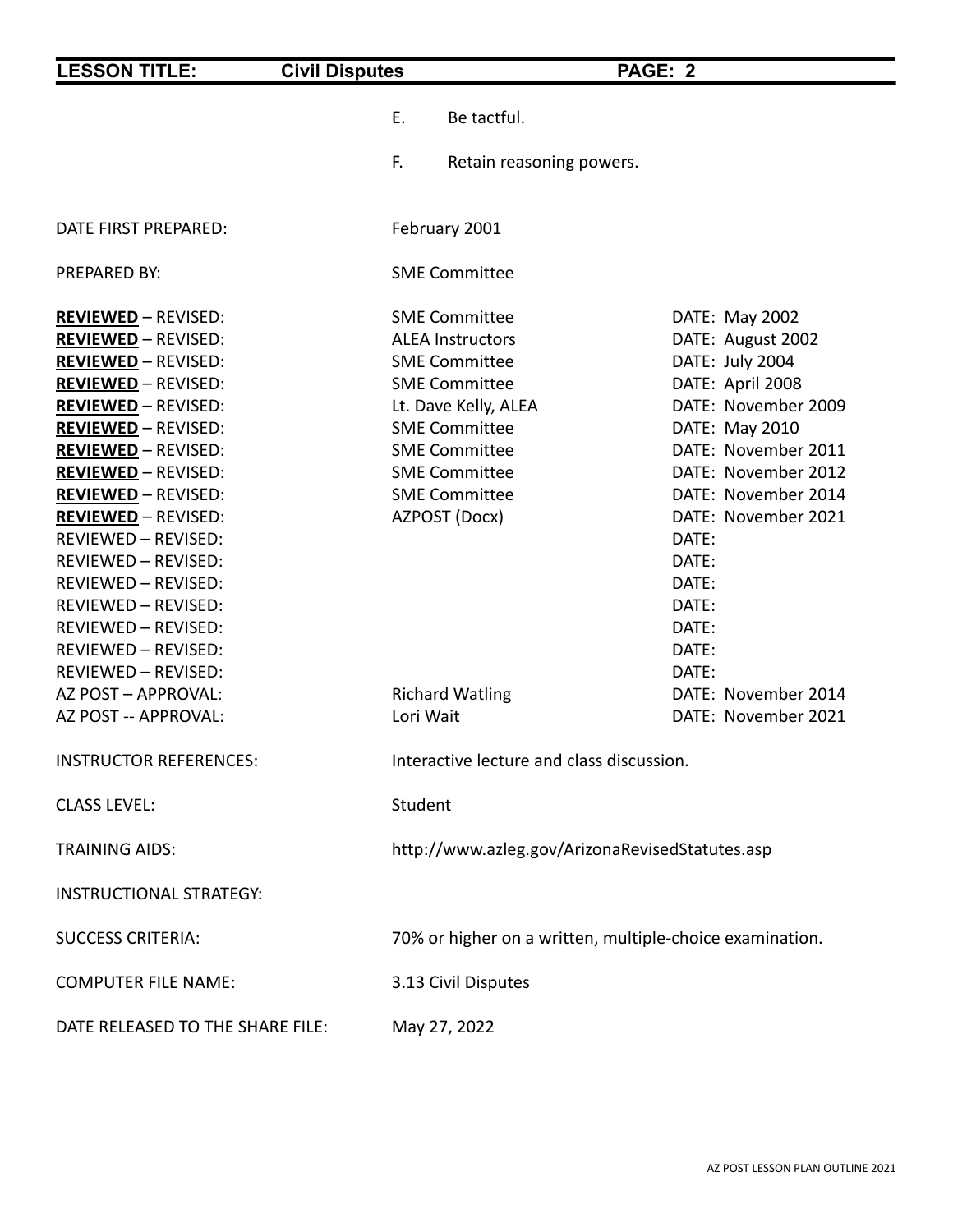| <b>LESSON TITLE:</b>                                                                                                                                                                                                                                                                                                                                                                                                                                                                                                     | <b>Civil Disputes</b>                                                                                                                                                                                                                                   | PAGE: 2                                                  |                                                                                                                                                                                                                                                                                                                              |
|--------------------------------------------------------------------------------------------------------------------------------------------------------------------------------------------------------------------------------------------------------------------------------------------------------------------------------------------------------------------------------------------------------------------------------------------------------------------------------------------------------------------------|---------------------------------------------------------------------------------------------------------------------------------------------------------------------------------------------------------------------------------------------------------|----------------------------------------------------------|------------------------------------------------------------------------------------------------------------------------------------------------------------------------------------------------------------------------------------------------------------------------------------------------------------------------------|
|                                                                                                                                                                                                                                                                                                                                                                                                                                                                                                                          | Ε.                                                                                                                                                                                                                                                      | Be tactful.                                              |                                                                                                                                                                                                                                                                                                                              |
|                                                                                                                                                                                                                                                                                                                                                                                                                                                                                                                          | F.                                                                                                                                                                                                                                                      | Retain reasoning powers.                                 |                                                                                                                                                                                                                                                                                                                              |
| DATE FIRST PREPARED:                                                                                                                                                                                                                                                                                                                                                                                                                                                                                                     | February 2001                                                                                                                                                                                                                                           |                                                          |                                                                                                                                                                                                                                                                                                                              |
| PREPARED BY:                                                                                                                                                                                                                                                                                                                                                                                                                                                                                                             | <b>SME Committee</b>                                                                                                                                                                                                                                    |                                                          |                                                                                                                                                                                                                                                                                                                              |
| <b>REVIEWED - REVISED:</b><br><b>REVIEWED - REVISED:</b><br><b>REVIEWED - REVISED:</b><br><b>REVIEWED - REVISED:</b><br><b>REVIEWED - REVISED:</b><br><b>REVIEWED - REVISED:</b><br><b>REVIEWED - REVISED:</b><br><b>REVIEWED - REVISED:</b><br><b>REVIEWED - REVISED:</b><br><b>REVIEWED - REVISED:</b><br>REVIEWED - REVISED:<br>REVIEWED - REVISED:<br>REVIEWED - REVISED:<br>REVIEWED - REVISED:<br>REVIEWED - REVISED:<br>REVIEWED - REVISED:<br>REVIEWED - REVISED:<br>AZ POST - APPROVAL:<br>AZ POST -- APPROVAL: | <b>SME Committee</b><br><b>ALEA Instructors</b><br><b>SME Committee</b><br><b>SME Committee</b><br><b>SME Committee</b><br><b>SME Committee</b><br><b>SME Committee</b><br><b>SME Committee</b><br>AZPOST (Docx)<br><b>Richard Watling</b><br>Lori Wait | Lt. Dave Kelly, ALEA                                     | DATE: May 2002<br>DATE: August 2002<br>DATE: July 2004<br>DATE: April 2008<br>DATE: November 2009<br>DATE: May 2010<br>DATE: November 2011<br>DATE: November 2012<br>DATE: November 2014<br>DATE: November 2021<br>DATE:<br>DATE:<br>DATE:<br>DATE:<br>DATE:<br>DATE:<br>DATE:<br>DATE: November 2014<br>DATE: November 2021 |
| <b>INSTRUCTOR REFERENCES:</b>                                                                                                                                                                                                                                                                                                                                                                                                                                                                                            |                                                                                                                                                                                                                                                         | Interactive lecture and class discussion.                |                                                                                                                                                                                                                                                                                                                              |
| <b>CLASS LEVEL:</b>                                                                                                                                                                                                                                                                                                                                                                                                                                                                                                      | Student                                                                                                                                                                                                                                                 |                                                          |                                                                                                                                                                                                                                                                                                                              |
| <b>TRAINING AIDS:</b>                                                                                                                                                                                                                                                                                                                                                                                                                                                                                                    |                                                                                                                                                                                                                                                         | http://www.azleg.gov/ArizonaRevisedStatutes.asp          |                                                                                                                                                                                                                                                                                                                              |
| <b>INSTRUCTIONAL STRATEGY:</b>                                                                                                                                                                                                                                                                                                                                                                                                                                                                                           |                                                                                                                                                                                                                                                         |                                                          |                                                                                                                                                                                                                                                                                                                              |
| <b>SUCCESS CRITERIA:</b>                                                                                                                                                                                                                                                                                                                                                                                                                                                                                                 |                                                                                                                                                                                                                                                         | 70% or higher on a written, multiple-choice examination. |                                                                                                                                                                                                                                                                                                                              |
| <b>COMPUTER FILE NAME:</b>                                                                                                                                                                                                                                                                                                                                                                                                                                                                                               |                                                                                                                                                                                                                                                         | 3.13 Civil Disputes                                      |                                                                                                                                                                                                                                                                                                                              |
| DATE RELEASED TO THE SHARE FILE:                                                                                                                                                                                                                                                                                                                                                                                                                                                                                         | May 27, 2022                                                                                                                                                                                                                                            |                                                          |                                                                                                                                                                                                                                                                                                                              |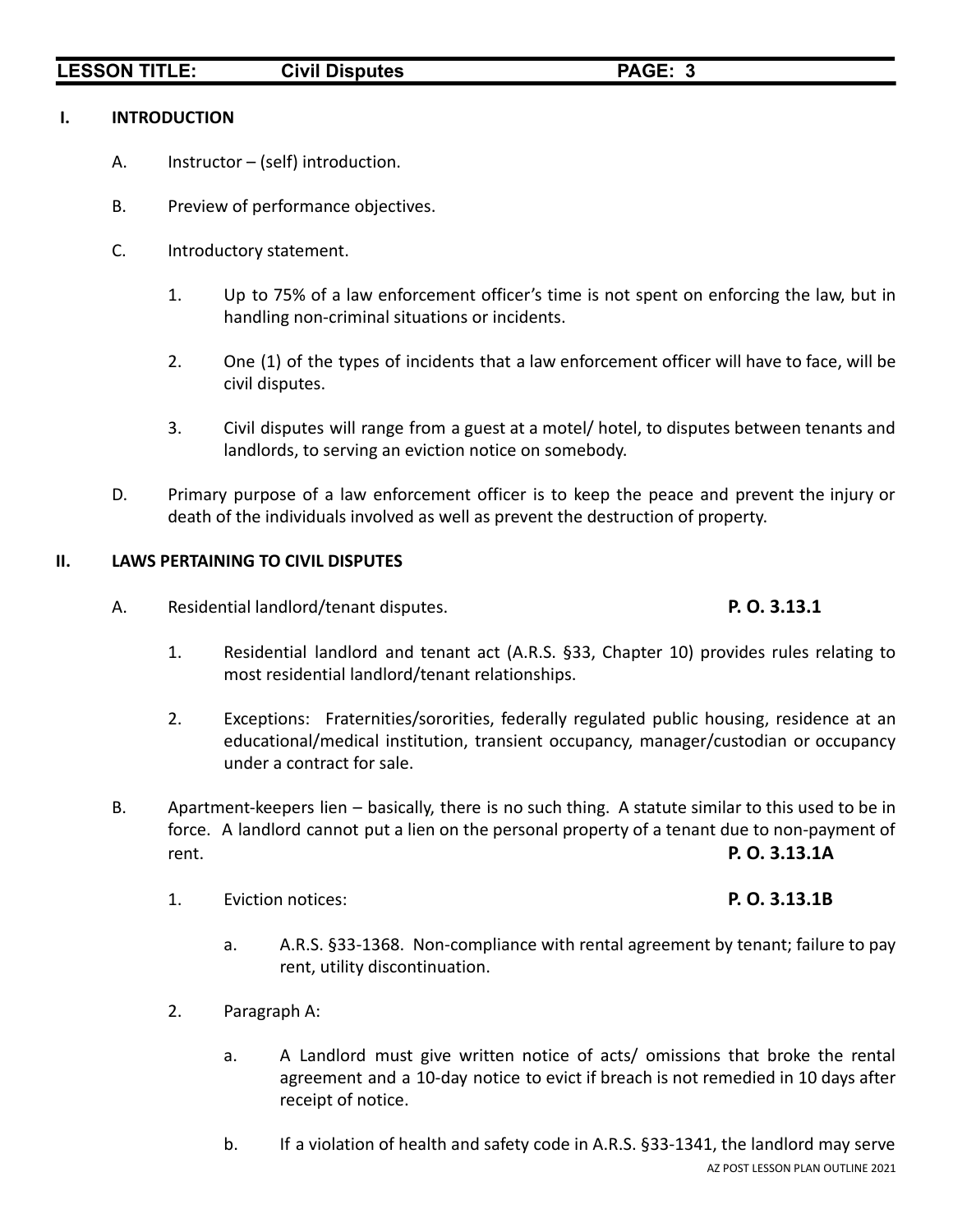# **LESSON TITLE: Civil Disputes PAGE: 3**

### **I. INTRODUCTION**

- A. Instructor (self) introduction.
- B. Preview of performance objectives.
- C. Introductory statement.
	- 1. Up to 75% of a law enforcement officer's time is not spent on enforcing the law, but in handling non-criminal situations or incidents.
	- 2. One (1) of the types of incidents that a law enforcement officer will have to face, will be civil disputes.
	- 3. Civil disputes will range from a guest at a motel/ hotel, to disputes between tenants and landlords, to serving an eviction notice on somebody.
- D. Primary purpose of a law enforcement officer is to keep the peace and prevent the injury or death of the individuals involved as well as prevent the destruction of property.

# **II. LAWS PERTAINING TO CIVIL DISPUTES**

A. Residential landlord/tenant disputes. **P. O. 3.13.1**

# 1. Residential landlord and tenant act (A.R.S. §33, Chapter 10) provides rules relating to most residential landlord/tenant relationships.

- 2. Exceptions: Fraternities/sororities, federally regulated public housing, residence at an educational/medical institution, transient occupancy, manager/custodian or occupancy under a contract for sale.
- B. Apartment-keepers lien basically, there is no such thing. A statute similar to this used to be in force. A landlord cannot put a lien on the personal property of a tenant due to non-payment of rent. **P. O. 3.13.1A**
	- 1. Eviction notices: **P. O. 3.13.1B**

- a. A.R.S. §33-1368. Non-compliance with rental agreement by tenant; failure to pay rent, utility discontinuation.
- 2. Paragraph A:
	- a. A Landlord must give written notice of acts/ omissions that broke the rental agreement and a 10-day notice to evict if breach is not remedied in 10 days after receipt of notice.
	- b. If a violation of health and safety code in A.R.S. §33-1341, the landlord may serve AZ POST LESSON PLAN OUTLINE 2021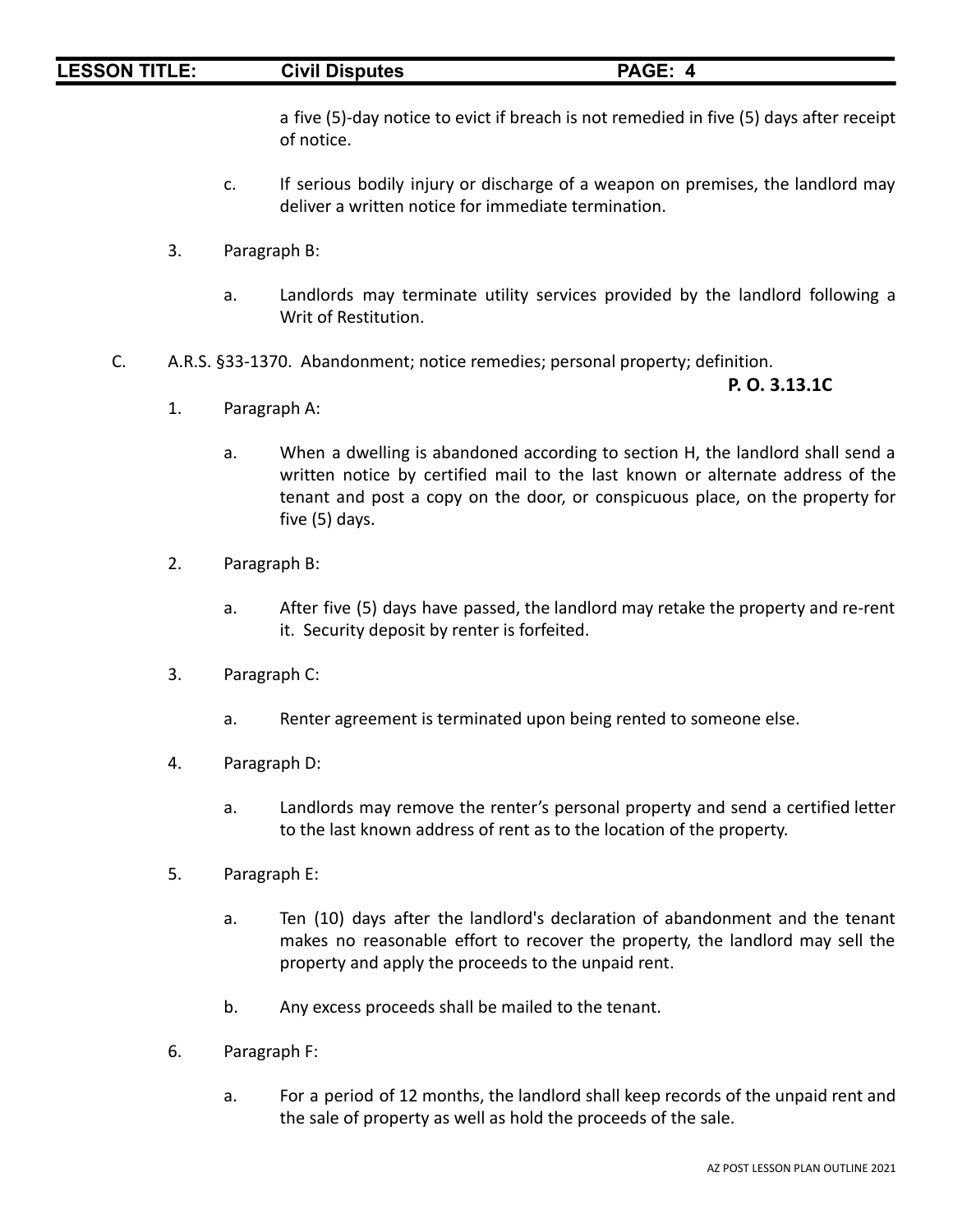## **LESSON TITLE: Civil Disputes PAGE: 4**

a five (5)-day notice to evict if breach is not remedied in five (5) days after receipt of notice.

- c. If serious bodily injury or discharge of a weapon on premises, the landlord may deliver a written notice for immediate termination.
- 3. Paragraph B:
	- a. Landlords may terminate utility services provided by the landlord following a Writ of Restitution.
- C. A.R.S. §33-1370. Abandonment; notice remedies; personal property; definition.

**P. O. 3.13.1C**

- 1. Paragraph A:
	- a. When a dwelling is abandoned according to section H, the landlord shall send a written notice by certified mail to the last known or alternate address of the tenant and post a copy on the door, or conspicuous place, on the property for five (5) days.
- 2. Paragraph B:
	- a. After five (5) days have passed, the landlord may retake the property and re-rent it. Security deposit by renter is forfeited.
- 3. Paragraph C:
	- a. Renter agreement is terminated upon being rented to someone else.
- 4. Paragraph D:
	- a. Landlords may remove the renter's personal property and send a certified letter to the last known address of rent as to the location of the property.
- 5. Paragraph E:
	- a. Ten (10) days after the landlord's declaration of abandonment and the tenant makes no reasonable effort to recover the property, the landlord may sell the property and apply the proceeds to the unpaid rent.
	- b. Any excess proceeds shall be mailed to the tenant.
- 6. Paragraph F:
	- a. For a period of 12 months, the landlord shall keep records of the unpaid rent and the sale of property as well as hold the proceeds of the sale.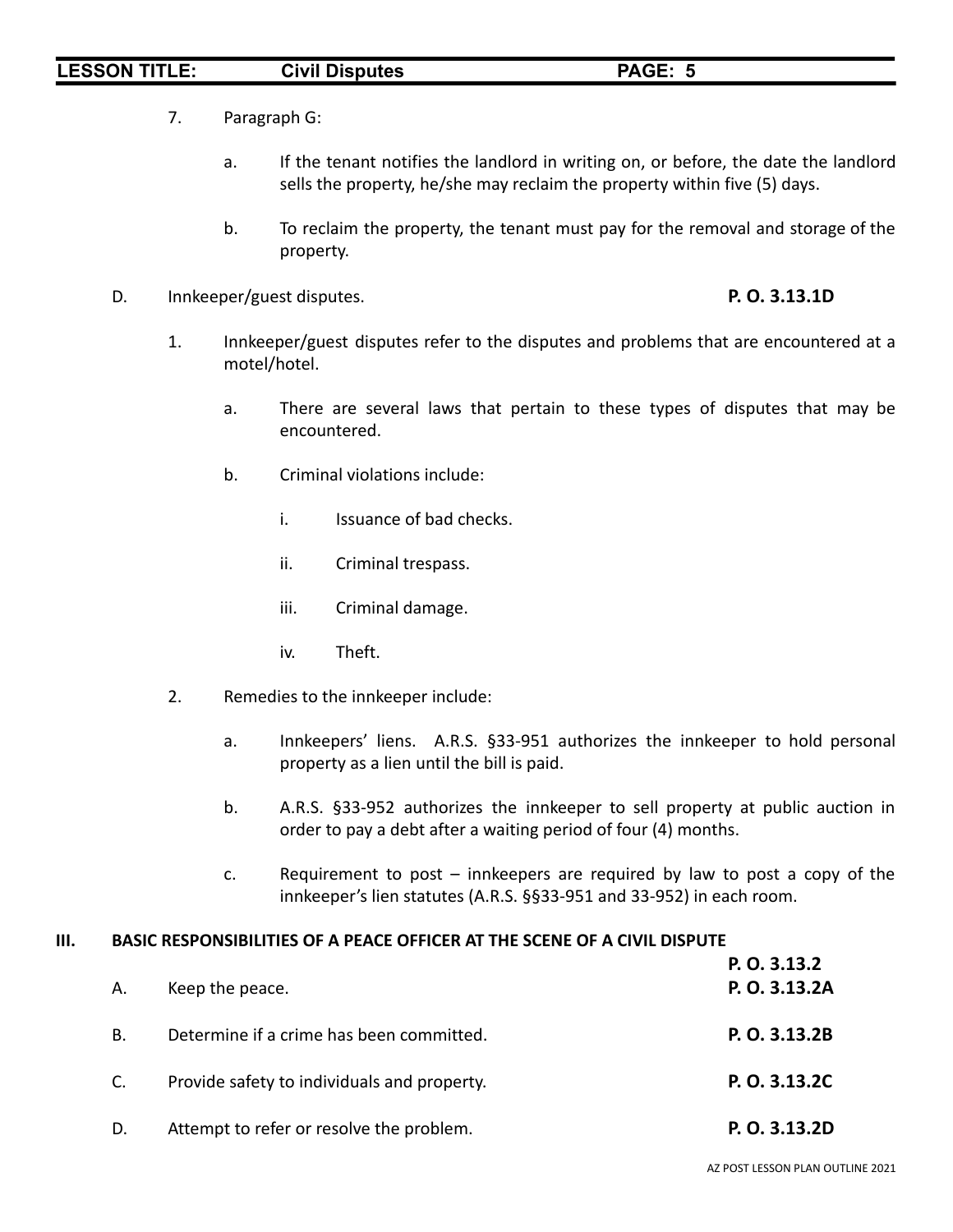# **LESSON TITLE: Civil Disputes PAGE: 5**

- 7. Paragraph G:
	- a. If the tenant notifies the landlord in writing on, or before, the date the landlord sells the property, he/she may reclaim the property within five (5) days.
	- b. To reclaim the property, the tenant must pay for the removal and storage of the property.
- D. Innkeeper/guest disputes. **P. O. 3.13.1D**

- 1. Innkeeper/guest disputes refer to the disputes and problems that are encountered at a motel/hotel.
	- a. There are several laws that pertain to these types of disputes that may be encountered.
	- b. Criminal violations include:
		- i. Issuance of bad checks.
		- ii. Criminal trespass.
		- iii. Criminal damage.
		- iv. Theft.
- 2. Remedies to the innkeeper include:
	- a. Innkeepers' liens. A.R.S. §33-951 authorizes the innkeeper to hold personal property as a lien until the bill is paid.
	- b. A.R.S. §33-952 authorizes the innkeeper to sell property at public auction in order to pay a debt after a waiting period of four (4) months.
	- c. Requirement to post innkeepers are required by law to post a copy of the innkeeper's lien statutes (A.R.S. §§33-951 and 33-952) in each room.

### **III. BASIC RESPONSIBILITIES OF A PEACE OFFICER AT THE SCENE OF A CIVIL DISPUTE**

|    |                                             | P. O. 3.13.2  |
|----|---------------------------------------------|---------------|
| А. | Keep the peace.                             | P. O. 3.13.2A |
| В. | Determine if a crime has been committed.    | P. O. 3.13.2B |
| C. | Provide safety to individuals and property. | P. O. 3.13.2C |
| D. | Attempt to refer or resolve the problem.    | P. O. 3.13.2D |